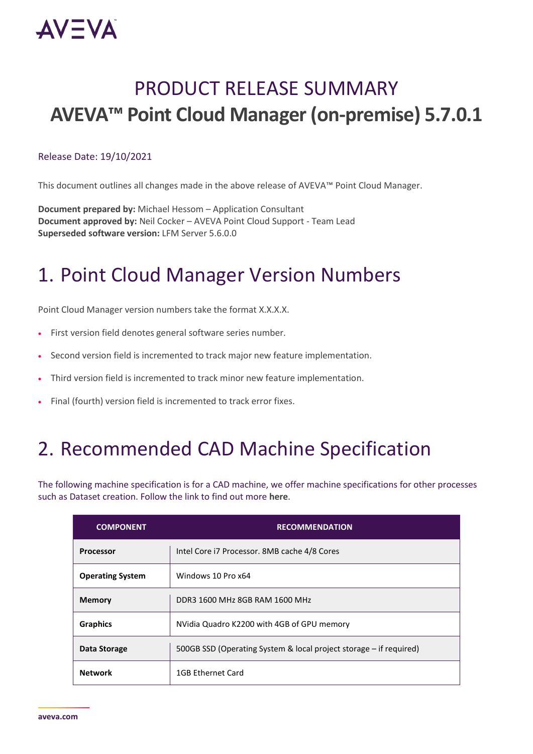

## PRODUCT RELEASE SUMMARY **AVEVA™ Point Cloud Manager (on-premise) 5.7.0.1**

#### Release Date: 19/10/2021

This document outlines all changes made in the above release of AVEVA™ Point Cloud Manager.

**Document prepared by:** Michael Hessom – Application Consultant **Document approved by:** Neil Cocker – AVEVA Point Cloud Support - Team Lead **Superseded software version:** LFM Server 5.6.0.0

### 1. Point Cloud Manager Version Numbers

Point Cloud Manager version numbers take the format X.X.X.X.

- First version field denotes general software series number.
- Second version field is incremented to track major new feature implementation.
- Third version field is incremented to track minor new feature implementation.
- Final (fourth) version field is incremented to track error fixes.

### 2. Recommended CAD Machine Specification

The following machine specification is for a CAD machine, we offer machine specifications for other processes such as Dataset creation. Follow the link to find out more **[here](https://lfmproducts.blob.core.windows.net/lfm-technical-portal/technical-resources/AVEVA_Point_Cloud_Manager__machine_specification_rev1.pdf)**.

| <b>COMPONENT</b>        | <b>RECOMMENDATION</b>                                              |
|-------------------------|--------------------------------------------------------------------|
| <b>Processor</b>        | Intel Core i7 Processor. 8MB cache 4/8 Cores                       |
| <b>Operating System</b> | Windows 10 Pro x64                                                 |
| <b>Memory</b>           | DDR3 1600 MHz 8GB RAM 1600 MHz                                     |
| <b>Graphics</b>         | NVidia Quadro K2200 with 4GB of GPU memory                         |
| Data Storage            | 500GB SSD (Operating System & local project storage – if required) |
| <b>Network</b>          | 1GB Ethernet Card                                                  |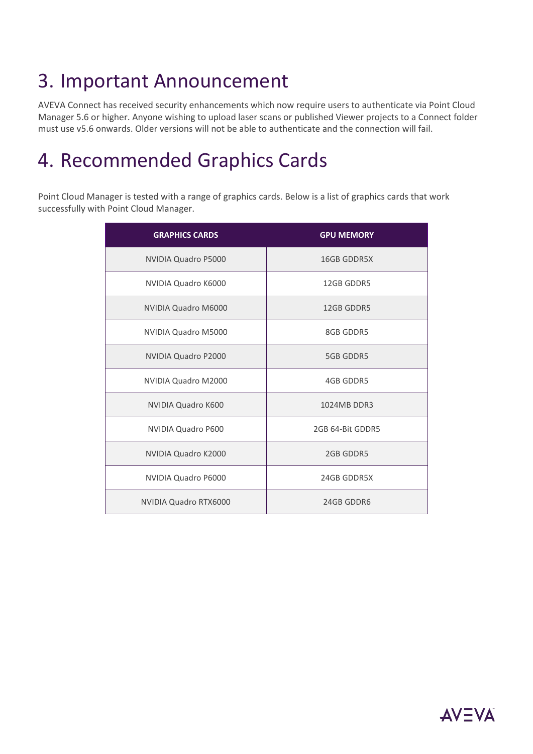# 3. Important Announcement

AVEVA Connect has received security enhancements which now require users to authenticate via Point Cloud Manager 5.6 or higher. Anyone wishing to upload laser scans or published Viewer projects to a Connect folder must use v5.6 onwards. Older versions will not be able to authenticate and the connection will fail.

### 4. Recommended Graphics Cards

Point Cloud Manager is tested with a range of graphics cards. Below is a list of graphics cards that work successfully with Point Cloud Manager.

| <b>GRAPHICS CARDS</b>      | <b>GPU MEMORY</b>  |
|----------------------------|--------------------|
| <b>NVIDIA Quadro P5000</b> | <b>16GB GDDR5X</b> |
| NVIDIA Quadro K6000        | 12GB GDDR5         |
| NVIDIA Quadro M6000        | 12GB GDDR5         |
| NVIDIA Quadro M5000        | 8GB GDDR5          |
| NVIDIA Quadro P2000        | <b>5GB GDDR5</b>   |
| NVIDIA Quadro M2000        | 4GB GDDR5          |
| NVIDIA Quadro K600         | 1024MB DDR3        |
| NVIDIA Quadro P600         | 2GB 64-Bit GDDR5   |
| NVIDIA Quadro K2000        | 2GB GDDR5          |
| NVIDIA Quadro P6000        | 24GB GDDR5X        |
| NVIDIA Quadro RTX6000      | 24GB GDDR6         |

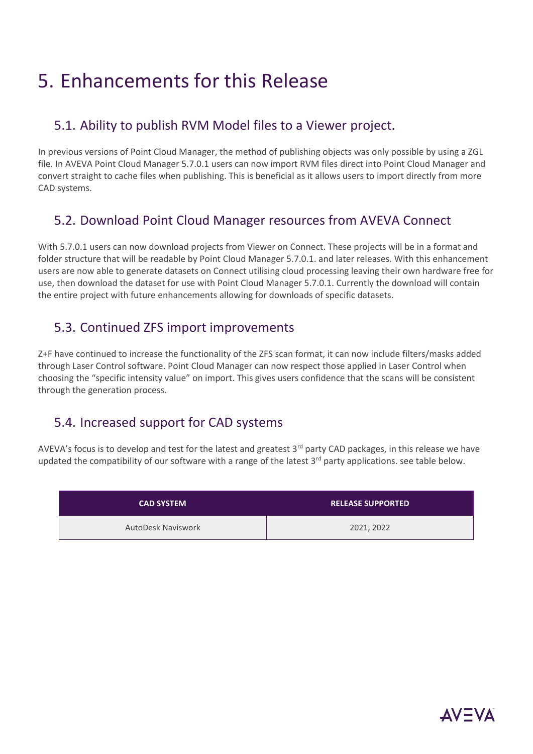### 5. Enhancements for this Release

#### 5.1. Ability to publish RVM Model files to a Viewer project.

In previous versions of Point Cloud Manager, the method of publishing objects was only possible by using a ZGL file. In AVEVA Point Cloud Manager 5.7.0.1 users can now import RVM files direct into Point Cloud Manager and convert straight to cache files when publishing. This is beneficial as it allows users to import directly from more CAD systems.

### 5.2. Download Point Cloud Manager resources from AVEVA Connect

With 5.7.0.1 users can now download projects from Viewer on Connect. These projects will be in a format and folder structure that will be readable by Point Cloud Manager 5.7.0.1. and later releases. With this enhancement users are now able to generate datasets on Connect utilising cloud processing leaving their own hardware free for use, then download the dataset for use with Point Cloud Manager 5.7.0.1. Currently the download will contain the entire project with future enhancements allowing for downloads of specific datasets.

#### 5.3. Continued ZFS import improvements

Z+F have continued to increase the functionality of the ZFS scan format, it can now include filters/masks added through Laser Control software. Point Cloud Manager can now respect those applied in Laser Control when choosing the "specific intensity value" on import. This gives users confidence that the scans will be consistent through the generation process.

### 5.4. Increased support for CAD systems

AVEVA's focus is to develop and test for the latest and greatest  $3<sup>rd</sup>$  party CAD packages, in this release we have updated the compatibility of our software with a range of the latest 3<sup>rd</sup> party applications. see table below.

| <b>CAD SYSTEM</b>         | <b>RELEASE SUPPORTED</b> |
|---------------------------|--------------------------|
| <b>AutoDesk Naviswork</b> | 2021, 2022               |

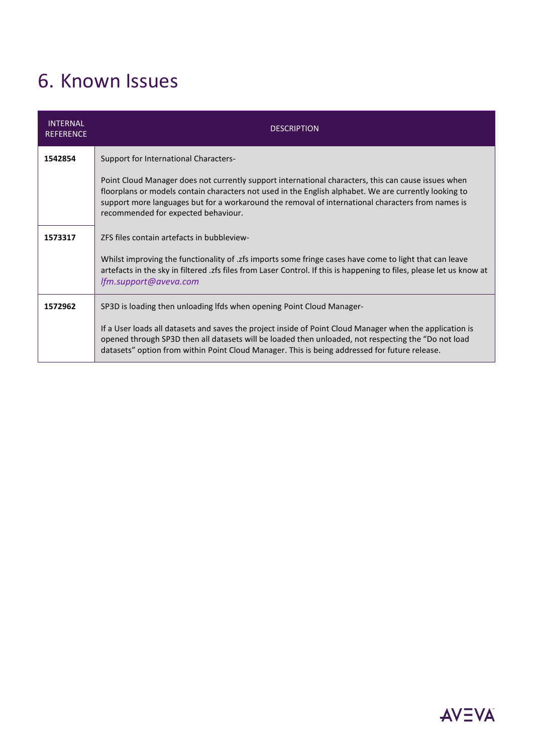# 6. Known Issues

| <b>INTERNAL</b><br><b>REFERENCE</b> | <b>DESCRIPTION</b>                                                                                                                                                                                                                                                                                                                                       |
|-------------------------------------|----------------------------------------------------------------------------------------------------------------------------------------------------------------------------------------------------------------------------------------------------------------------------------------------------------------------------------------------------------|
| 1542854                             | Support for International Characters-                                                                                                                                                                                                                                                                                                                    |
|                                     | Point Cloud Manager does not currently support international characters, this can cause issues when<br>floorplans or models contain characters not used in the English alphabet. We are currently looking to<br>support more languages but for a workaround the removal of international characters from names is<br>recommended for expected behaviour. |
| 1573317                             | ZFS files contain artefacts in bubbleview-                                                                                                                                                                                                                                                                                                               |
|                                     | Whilst improving the functionality of .zfs imports some fringe cases have come to light that can leave<br>artefacts in the sky in filtered .zfs files from Laser Control. If this is happening to files, please let us know at<br>lfm.support@aveva.com                                                                                                  |
| 1572962                             | SP3D is loading then unloading lfds when opening Point Cloud Manager-                                                                                                                                                                                                                                                                                    |
|                                     | If a User loads all datasets and saves the project inside of Point Cloud Manager when the application is<br>opened through SP3D then all datasets will be loaded then unloaded, not respecting the "Do not load<br>datasets" option from within Point Cloud Manager. This is being addressed for future release.                                         |